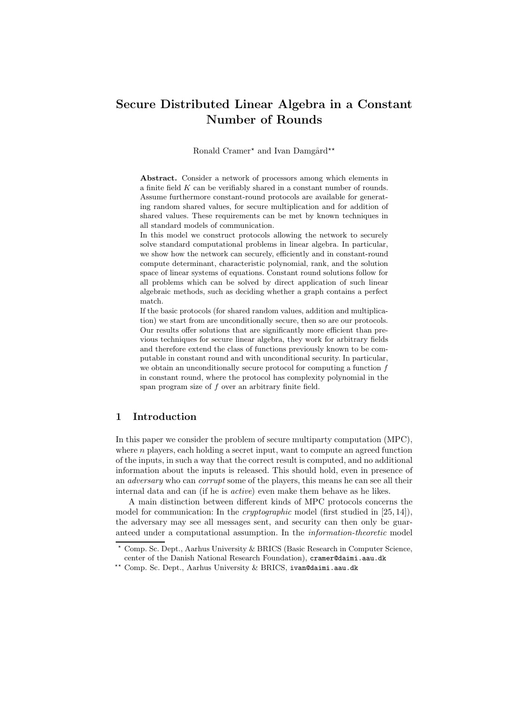# Secure Distributed Linear Algebra in a Constant Number of Rounds

Ronald Cramer\* and Ivan Damgård\*\*

Abstract. Consider a network of processors among which elements in a finite field K can be verifiably shared in a constant number of rounds. Assume furthermore constant-round protocols are available for generating random shared values, for secure multiplication and for addition of shared values. These requirements can be met by known techniques in all standard models of communication.

In this model we construct protocols allowing the network to securely solve standard computational problems in linear algebra. In particular, we show how the network can securely, efficiently and in constant-round compute determinant, characteristic polynomial, rank, and the solution space of linear systems of equations. Constant round solutions follow for all problems which can be solved by direct application of such linear algebraic methods, such as deciding whether a graph contains a perfect match.

If the basic protocols (for shared random values, addition and multiplication) we start from are unconditionally secure, then so are our protocols. Our results offer solutions that are significantly more efficient than previous techniques for secure linear algebra, they work for arbitrary fields and therefore extend the class of functions previously known to be computable in constant round and with unconditional security. In particular, we obtain an unconditionally secure protocol for computing a function  $f$ in constant round, where the protocol has complexity polynomial in the span program size of  $f$  over an arbitrary finite field.

### 1 Introduction

In this paper we consider the problem of secure multiparty computation (MPC), where  $n$  players, each holding a secret input, want to compute an agreed function of the inputs, in such a way that the correct result is computed, and no additional information about the inputs is released. This should hold, even in presence of an adversary who can corrupt some of the players, this means he can see all their internal data and can (if he is active) even make them behave as he likes.

A main distinction between different kinds of MPC protocols concerns the model for communication: In the *cryptographic* model (first studied in [25, 14]), the adversary may see all messages sent, and security can then only be guaranteed under a computational assumption. In the information-theoretic model

<sup>?</sup> Comp. Sc. Dept., Aarhus University & BRICS (Basic Research in Computer Science, center of the Danish National Research Foundation), cramer@daimi.aau.dk

<sup>??</sup> Comp. Sc. Dept., Aarhus University & BRICS, ivan@daimi.aau.dk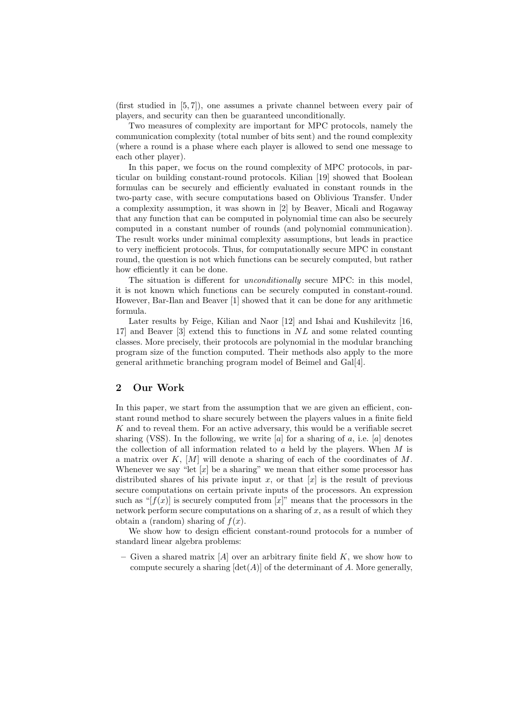(first studied in [5, 7]), one assumes a private channel between every pair of players, and security can then be guaranteed unconditionally.

Two measures of complexity are important for MPC protocols, namely the communication complexity (total number of bits sent) and the round complexity (where a round is a phase where each player is allowed to send one message to each other player).

In this paper, we focus on the round complexity of MPC protocols, in particular on building constant-round protocols. Kilian [19] showed that Boolean formulas can be securely and efficiently evaluated in constant rounds in the two-party case, with secure computations based on Oblivious Transfer. Under a complexity assumption, it was shown in [2] by Beaver, Micali and Rogaway that any function that can be computed in polynomial time can also be securely computed in a constant number of rounds (and polynomial communication). The result works under minimal complexity assumptions, but leads in practice to very inefficient protocols. Thus, for computationally secure MPC in constant round, the question is not which functions can be securely computed, but rather how efficiently it can be done.

The situation is different for *unconditionally* secure MPC: in this model, it is not known which functions can be securely computed in constant-round. However, Bar-Ilan and Beaver [1] showed that it can be done for any arithmetic formula.

Later results by Feige, Kilian and Naor [12] and Ishai and Kushilevitz [16, 17] and Beaver [3] extend this to functions in NL and some related counting classes. More precisely, their protocols are polynomial in the modular branching program size of the function computed. Their methods also apply to the more general arithmetic branching program model of Beimel and Gal[4].

### 2 Our Work

In this paper, we start from the assumption that we are given an efficient, constant round method to share securely between the players values in a finite field K and to reveal them. For an active adversary, this would be a verifiable secret sharing (VSS). In the following, we write [a] for a sharing of a, i.e. [a] denotes the collection of all information related to a held by the players. When  $M$  is a matrix over  $K$ ,  $[M]$  will denote a sharing of each of the coordinates of M. Whenever we say "let  $[x]$  be a sharing" we mean that either some processor has distributed shares of his private input x, or that  $[x]$  is the result of previous secure computations on certain private inputs of the processors. An expression such as " $[f(x)]$  is securely computed from  $[x]$ " means that the processors in the network perform secure computations on a sharing of x, as a result of which they obtain a (random) sharing of  $f(x)$ .

We show how to design efficient constant-round protocols for a number of standard linear algebra problems:

– Given a shared matrix  $[A]$  over an arbitrary finite field K, we show how to compute securely a sharing  $[\det(A)]$  of the determinant of A. More generally,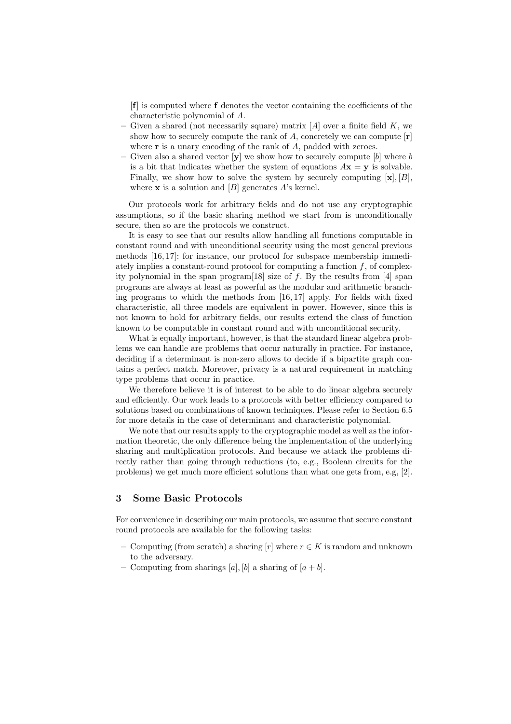[f] is computed where f denotes the vector containing the coefficients of the characteristic polynomial of A.

- Given a shared (not necessarily square) matrix  $[A]$  over a finite field K, we show how to securely compute the rank of  $A$ , concretely we can compute  $[r]$ where  $\bf{r}$  is a unary encoding of the rank of A, padded with zeroes.
- Given also a shared vector [y] we show how to securely compute [b] where b is a bit that indicates whether the system of equations  $A\mathbf{x} = \mathbf{y}$  is solvable. Finally, we show how to solve the system by securely computing  $[x]$ ,  $[B]$ , where **x** is a solution and  $[B]$  generates A's kernel.

Our protocols work for arbitrary fields and do not use any cryptographic assumptions, so if the basic sharing method we start from is unconditionally secure, then so are the protocols we construct.

It is easy to see that our results allow handling all functions computable in constant round and with unconditional security using the most general previous methods [16, 17]: for instance, our protocol for subspace membership immediately implies a constant-round protocol for computing a function  $f$ , of complexity polynomial in the span program $[18]$  size of f. By the results from  $[4]$  span programs are always at least as powerful as the modular and arithmetic branching programs to which the methods from [16, 17] apply. For fields with fixed characteristic, all three models are equivalent in power. However, since this is not known to hold for arbitrary fields, our results extend the class of function known to be computable in constant round and with unconditional security.

What is equally important, however, is that the standard linear algebra problems we can handle are problems that occur naturally in practice. For instance, deciding if a determinant is non-zero allows to decide if a bipartite graph contains a perfect match. Moreover, privacy is a natural requirement in matching type problems that occur in practice.

We therefore believe it is of interest to be able to do linear algebra securely and efficiently. Our work leads to a protocols with better efficiency compared to solutions based on combinations of known techniques. Please refer to Section 6.5 for more details in the case of determinant and characteristic polynomial.

We note that our results apply to the cryptographic model as well as the information theoretic, the only difference being the implementation of the underlying sharing and multiplication protocols. And because we attack the problems directly rather than going through reductions (to, e.g., Boolean circuits for the problems) we get much more efficient solutions than what one gets from, e.g, [2].

### 3 Some Basic Protocols

For convenience in describing our main protocols, we assume that secure constant round protocols are available for the following tasks:

- Computing (from scratch) a sharing [r] where  $r \in K$  is random and unknown to the adversary.
- Computing from sharings [a], [b] a sharing of  $[a + b]$ .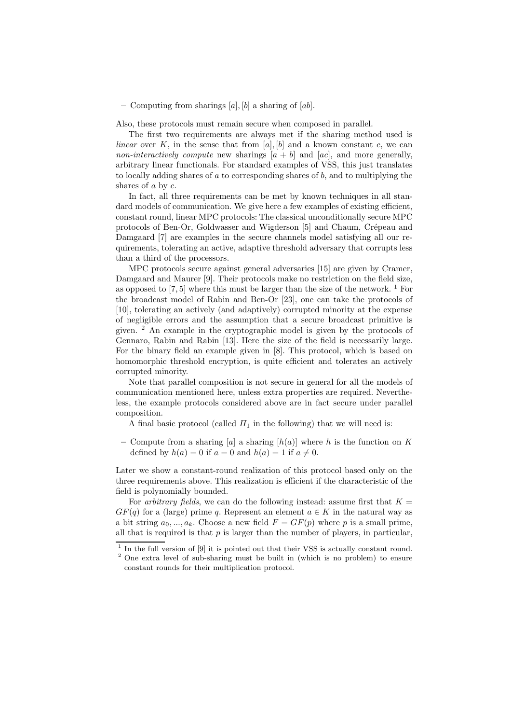– Computing from sharings [a], [b] a sharing of [ab].

Also, these protocols must remain secure when composed in parallel.

The first two requirements are always met if the sharing method used is linear over K, in the sense that from  $[a], [b]$  and a known constant c, we can non-interactively compute new sharings  $[a + b]$  and  $[ac]$ , and more generally, arbitrary linear functionals. For standard examples of VSS, this just translates to locally adding shares of  $a$  to corresponding shares of  $b$ , and to multiplying the shares of  $a$  by  $c$ .

In fact, all three requirements can be met by known techniques in all standard models of communication. We give here a few examples of existing efficient, constant round, linear MPC protocols: The classical unconditionally secure MPC protocols of Ben-Or, Goldwasser and Wigderson [5] and Chaum, Crépeau and Damgaard [7] are examples in the secure channels model satisfying all our requirements, tolerating an active, adaptive threshold adversary that corrupts less than a third of the processors.

MPC protocols secure against general adversaries [15] are given by Cramer, Damgaard and Maurer [9]. Their protocols make no restriction on the field size, as opposed to  $[7, 5]$  where this must be larger than the size of the network.  $\frac{1}{1}$  For the broadcast model of Rabin and Ben-Or [23], one can take the protocols of [10], tolerating an actively (and adaptively) corrupted minority at the expense of negligible errors and the assumption that a secure broadcast primitive is given.  $2$  An example in the cryptographic model is given by the protocols of Gennaro, Rabin and Rabin [13]. Here the size of the field is necessarily large. For the binary field an example given in [8]. This protocol, which is based on homomorphic threshold encryption, is quite efficient and tolerates an actively corrupted minority.

Note that parallel composition is not secure in general for all the models of communication mentioned here, unless extra properties are required. Nevertheless, the example protocols considered above are in fact secure under parallel composition.

A final basic protocol (called  $\Pi_1$  in the following) that we will need is:

Compute from a sharing  $[a]$  a sharing  $[h(a)]$  where h is the function on K defined by  $h(a) = 0$  if  $a = 0$  and  $h(a) = 1$  if  $a \neq 0$ .

Later we show a constant-round realization of this protocol based only on the three requirements above. This realization is efficient if the characteristic of the field is polynomially bounded.

For *arbitrary fields*, we can do the following instead: assume first that  $K =$  $GF(q)$  for a (large) prime q. Represent an element  $a \in K$  in the natural way as a bit string  $a_0, ..., a_k$ . Choose a new field  $F = GF(p)$  where p is a small prime, all that is required is that  $p$  is larger than the number of players, in particular,

<sup>&</sup>lt;sup>1</sup> In the full version of [9] it is pointed out that their VSS is actually constant round. <sup>2</sup> One extra level of sub-sharing must be built in (which is no problem) to ensure

constant rounds for their multiplication protocol.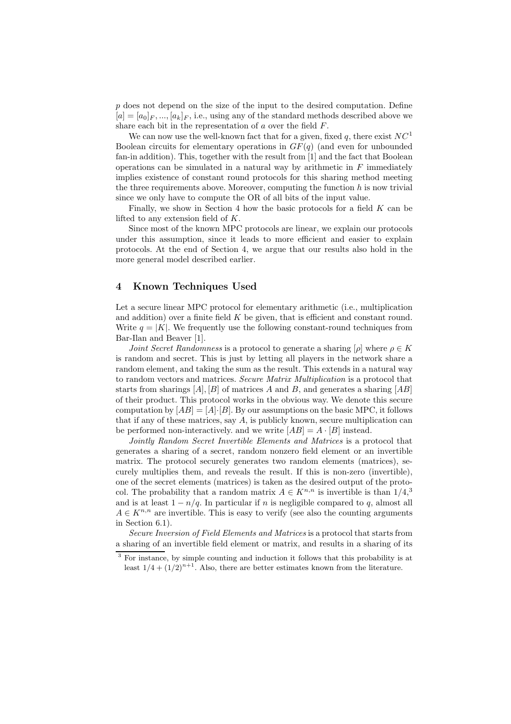p does not depend on the size of the input to the desired computation. Define  $[a] = [a_0]_F, ..., [a_k]_F$ , i.e., using any of the standard methods described above we share each bit in the representation of a over the field F.

We can now use the well-known fact that for a given, fixed  $q$ , there exist  $NC<sup>1</sup>$ Boolean circuits for elementary operations in  $GF(q)$  (and even for unbounded fan-in addition). This, together with the result from [1] and the fact that Boolean operations can be simulated in a natural way by arithmetic in  $F$  immediately implies existence of constant round protocols for this sharing method meeting the three requirements above. Moreover, computing the function  $h$  is now trivial since we only have to compute the OR of all bits of the input value.

Finally, we show in Section 4 how the basic protocols for a field  $K$  can be lifted to any extension field of K.

Since most of the known MPC protocols are linear, we explain our protocols under this assumption, since it leads to more efficient and easier to explain protocols. At the end of Section 4, we argue that our results also hold in the more general model described earlier.

### 4 Known Techniques Used

Let a secure linear MPC protocol for elementary arithmetic (i.e., multiplication and addition) over a finite field  $K$  be given, that is efficient and constant round. Write  $q = |K|$ . We frequently use the following constant-round techniques from Bar-Ilan and Beaver [1].

*Joint Secret Randomness* is a protocol to generate a sharing  $[\rho]$  where  $\rho \in K$ is random and secret. This is just by letting all players in the network share a random element, and taking the sum as the result. This extends in a natural way to random vectors and matrices. Secure Matrix Multiplication is a protocol that starts from sharings  $[A], [B]$  of matrices A and B, and generates a sharing  $[AB]$ of their product. This protocol works in the obvious way. We denote this secure computation by  $[AB] = [A] \cdot [B]$ . By our assumptions on the basic MPC, it follows that if any of these matrices, say  $A$ , is publicly known, secure multiplication can be performed non-interactively. and we write  $[AB] = A \cdot [B]$  instead.

Jointly Random Secret Invertible Elements and Matrices is a protocol that generates a sharing of a secret, random nonzero field element or an invertible matrix. The protocol securely generates two random elements (matrices), securely multiplies them, and reveals the result. If this is non-zero (invertible), one of the secret elements (matrices) is taken as the desired output of the protocol. The probability that a random matrix  $A \in K^{n,n}$  is invertible is than  $1/4$ ,<sup>3</sup> and is at least  $1 - n/q$ . In particular if n is negligible compared to q, almost all  $A \in K^{n,n}$  are invertible. This is easy to verify (see also the counting arguments in Section 6.1).

Secure Inversion of Field Elements and Matrices is a protocol that starts from a sharing of an invertible field element or matrix, and results in a sharing of its

<sup>&</sup>lt;sup>3</sup> For instance, by simple counting and induction it follows that this probability is at least  $1/4 + (1/2)^{n+1}$ . Also, there are better estimates known from the literature.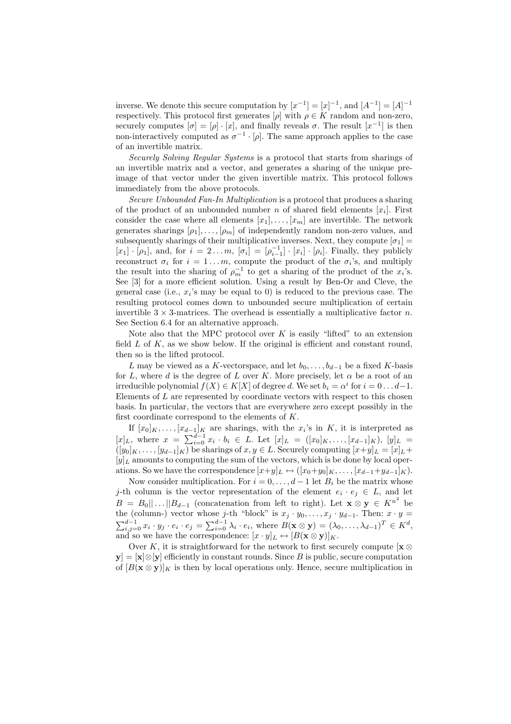inverse. We denote this secure computation by  $[x^{-1}] = [x]^{-1}$ , and  $[A^{-1}] = [A]^{-1}$ respectively. This protocol first generates  $[\rho]$  with  $\rho \in K$  random and non-zero, securely computes  $[\sigma] = [\rho] \cdot [x]$ , and finally reveals  $\sigma$ . The result  $[x^{-1}]$  is then non-interactively computed as  $\sigma^{-1} \cdot [\rho]$ . The same approach applies to the case of an invertible matrix.

Securely Solving Regular Systems is a protocol that starts from sharings of an invertible matrix and a vector, and generates a sharing of the unique preimage of that vector under the given invertible matrix. This protocol follows immediately from the above protocols.

Secure Unbounded Fan-In Multiplication is a protocol that produces a sharing of the product of an unbounded number n of shared field elements  $[x_i]$ . First consider the case where all elements  $[x_1], \ldots, [x_m]$  are invertible. The network generates sharings  $[\rho_1], \ldots, [\rho_m]$  of independently random non-zero values, and subsequently sharings of their multiplicative inverses. Next, they compute  $[\sigma_1] =$  $[x_1] \cdot [\rho_1]$ , and, for  $i = 2 \ldots m$ ,  $[\sigma_i] = [\rho_{i-1}^{-1}] \cdot [x_i] \cdot [\rho_i]$ . Finally, they publicly reconstruct  $\sigma_i$  for  $i = 1...m$ , compute the product of the  $\sigma_i$ 's, and multiply the result into the sharing of  $\rho_m^{-1}$  to get a sharing of the product of the  $x_i$ 's. See [3] for a more efficient solution. Using a result by Ben-Or and Cleve, the general case (i.e.,  $x_i$ 's may be equal to 0) is reduced to the previous case. The resulting protocol comes down to unbounded secure multiplication of certain invertible  $3 \times 3$ -matrices. The overhead is essentially a multiplicative factor n. See Section 6.4 for an alternative approach.

Note also that the MPC protocol over  $K$  is easily "lifted" to an extension field  $L$  of  $K$ , as we show below. If the original is efficient and constant round, then so is the lifted protocol.

L may be viewed as a K-vector space, and let  $b_0, \ldots, b_{d-1}$  be a fixed K-basis for L, where d is the degree of L over K. More precisely, let  $\alpha$  be a root of an irreducible polynomial  $f(X) \in K[X]$  of degree d. We set  $b_i = \alpha^i$  for  $i = 0 \dots d-1$ . Elements of  $L$  are represented by coordinate vectors with respect to this chosen basis. In particular, the vectors that are everywhere zero except possibly in the first coordinate correspond to the elements of  $K$ .

If  $[x_0]_K, \ldots, [x_{d-1}]_K$  are sharings, with the  $x_i$ 's in K, it is interpreted as  $[x]_L$ , where  $x = \sum_{i=0}^{d-1} x_i \cdot b_i \in L$ . Let  $[x]_L = ([x_0]_K, \ldots, [x_{d-1}]_K)$ ,  $[y]_L =$  $([y_0]_K, \ldots, [y_{d-1}]_K)$  be sharings of  $x, y \in L$ . Securely computing  $[x+y]_L = [x]_L +$  $[y]_L$  amounts to computing the sum of the vectors, which is be done by local operations. So we have the correspondence  $[x+y]_L \leftrightarrow ([x_0+y_0]_K, \ldots, [x_{d-1}+y_{d-1}]_K)$ .

Now consider multiplication. For  $i = 0, \ldots, d - 1$  let  $B_i$  be the matrix whose j-th column is the vector representation of the element  $e_i \cdot e_j \in L$ , and let  $B = B_0 || \dots || B_{d-1}$  (concatenation from left to right). Let  $\mathbf{x} \otimes \mathbf{y} \in K^{n^2}$  be the (column-) vector whose j-th "block" is  $x_j \cdot y_0, \ldots, x_j \cdot y_{d-1}$ . Then:  $x \cdot y =$  $\sum_{i,j=0}^{d-1} x_i \cdot y_j \cdot e_i \cdot e_j = \sum_{i=0}^{d-1} \lambda_i \cdot e_i$ , where  $B(\mathbf{x} \otimes \mathbf{y}) = (\lambda_0, \dots, \lambda_{d-1})^T \in K^d$ , and so we have the correspondence:  $[x \cdot y]_L \leftrightarrow [B(\mathbf{x} \otimes \mathbf{y})]_K$ .

Over K, it is straightforward for the network to first securely compute [ $\mathbf{x} \otimes$ ]  $y = [\mathbf{x}] \otimes [\mathbf{y}]$  efficiently in constant rounds. Since B is public, secure computation of  $[B(\mathbf{x} \otimes \mathbf{y})]_K$  is then by local operations only. Hence, secure multiplication in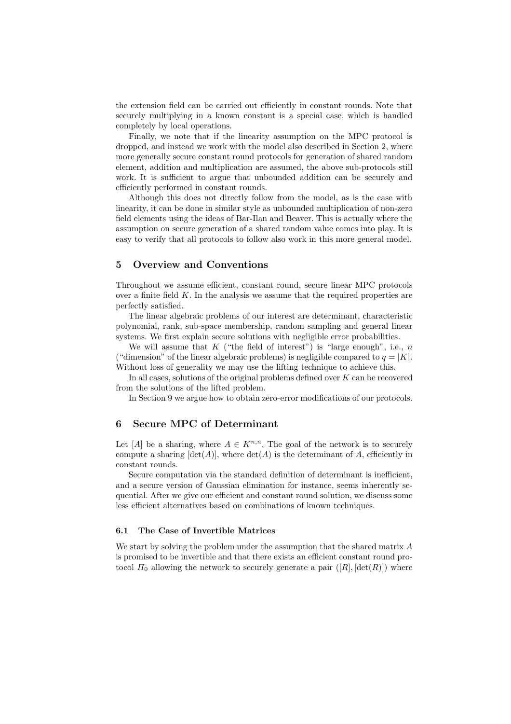the extension field can be carried out efficiently in constant rounds. Note that securely multiplying in a known constant is a special case, which is handled completely by local operations.

Finally, we note that if the linearity assumption on the MPC protocol is dropped, and instead we work with the model also described in Section 2, where more generally secure constant round protocols for generation of shared random element, addition and multiplication are assumed, the above sub-protocols still work. It is sufficient to argue that unbounded addition can be securely and efficiently performed in constant rounds.

Although this does not directly follow from the model, as is the case with linearity, it can be done in similar style as unbounded multiplication of non-zero field elements using the ideas of Bar-Ilan and Beaver. This is actually where the assumption on secure generation of a shared random value comes into play. It is easy to verify that all protocols to follow also work in this more general model.

### 5 Overview and Conventions

Throughout we assume efficient, constant round, secure linear MPC protocols over a finite field  $K$ . In the analysis we assume that the required properties are perfectly satisfied.

The linear algebraic problems of our interest are determinant, characteristic polynomial, rank, sub-space membership, random sampling and general linear systems. We first explain secure solutions with negligible error probabilities.

We will assume that  $K$  ("the field of interest") is "large enough", i.e.,  $n$ ("dimension" of the linear algebraic problems) is negligible compared to  $q = |K|$ . Without loss of generality we may use the lifting technique to achieve this.

In all cases, solutions of the original problems defined over K can be recovered from the solutions of the lifted problem.

In Section 9 we argue how to obtain zero-error modifications of our protocols.

### 6 Secure MPC of Determinant

Let [A] be a sharing, where  $A \in K^{n,n}$ . The goal of the network is to securely compute a sharing  $[\det(A)]$ , where  $\det(A)$  is the determinant of A, efficiently in constant rounds.

Secure computation via the standard definition of determinant is inefficient, and a secure version of Gaussian elimination for instance, seems inherently sequential. After we give our efficient and constant round solution, we discuss some less efficient alternatives based on combinations of known techniques.

### 6.1 The Case of Invertible Matrices

We start by solving the problem under the assumption that the shared matrix A is promised to be invertible and that there exists an efficient constant round protocol  $\Pi_0$  allowing the network to securely generate a pair ([R], [det(R)]) where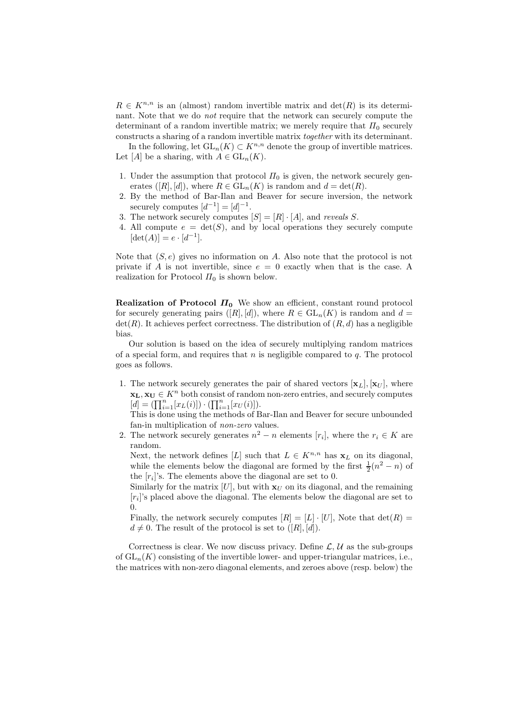$R \in K^{n,n}$  is an (almost) random invertible matrix and  $\det(R)$  is its determinant. Note that we do not require that the network can securely compute the determinant of a random invertible matrix; we merely require that  $\Pi_0$  securely constructs a sharing of a random invertible matrix together with its determinant.

In the following, let  $GL_n(K) \subset K^{n,n}$  denote the group of invertible matrices. Let [A] be a sharing, with  $A \in GL_n(K)$ .

- 1. Under the assumption that protocol  $\Pi_0$  is given, the network securely generates ([R], [d]), where  $R \in GL_n(K)$  is random and  $d = \det(R)$ .
- 2. By the method of Bar-Ilan and Beaver for secure inversion, the network securely computes  $[d^{-1}] = [d]^{-1}$ .
- 3. The network securely computes  $[S] = [R] \cdot [A]$ , and *reveals* S.
- 4. All compute  $e = \det(S)$ , and by local operations they securely compute  $[det(A)] = e \cdot [d^{-1}].$

Note that  $(S, e)$  gives no information on A. Also note that the protocol is not private if A is not invertible, since  $e = 0$  exactly when that is the case. A realization for Protocol  $\Pi_0$  is shown below.

**Realization of Protocol**  $\Pi_0$  We show an efficient, constant round protocol for securely generating pairs  $([R], [d])$ , where  $R \in GL_n(K)$  is random and  $d =$  $\det(R)$ . It achieves perfect correctness. The distribution of  $(R, d)$  has a negligible bias.

Our solution is based on the idea of securely multiplying random matrices of a special form, and requires that  $n$  is negligible compared to  $q$ . The protocol goes as follows.

1. The network securely generates the pair of shared vectors  $[\mathbf{x}_L], [\mathbf{x}_U],$  where  $\mathbf{x}_L, \mathbf{x}_U \in K^n$  both consist of random non-zero entries, and securely computes  $[d] = (\prod_{i=1}^{n} [x_L(i)]) \cdot (\prod_{i=1}^{n} [x_U(i)]).$ 

This is done using the methods of Bar-Ilan and Beaver for secure unbounded fan-in multiplication of non-zero values.

2. The network securely generates  $n^2 - n$  elements  $[r_i]$ , where the  $r_i \in K$  are random.

Next, the network defines [L] such that  $L \in K^{n,n}$  has  $\mathbf{x}_L$  on its diagonal, while the elements below the diagonal are formed by the first  $\frac{1}{2}(n^2 - n)$  of the  $[r_i]$ 's. The elements above the diagonal are set to 0.

Similarly for the matrix [U], but with  $\mathbf{x}_U$  on its diagonal, and the remaining  $[r_i]$ 's placed above the diagonal. The elements below the diagonal are set to 0.

Finally, the network securely computes  $[R] = [L] \cdot [U]$ , Note that  $\det(R) =$  $d \neq 0$ . The result of the protocol is set to  $([R], [d])$ .

Correctness is clear. We now discuss privacy. Define  $\mathcal{L}, \mathcal{U}$  as the sub-groups of  $GL_n(K)$  consisting of the invertible lower- and upper-triangular matrices, i.e., the matrices with non-zero diagonal elements, and zeroes above (resp. below) the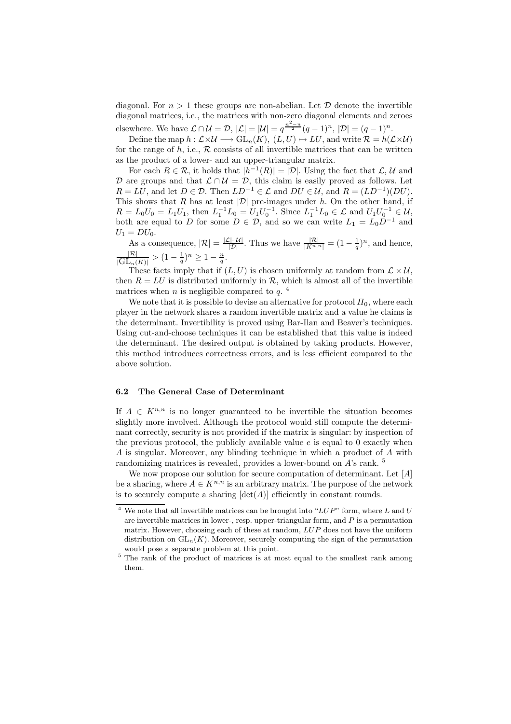diagonal. For  $n > 1$  these groups are non-abelian. Let  $D$  denote the invertible diagonal matrices, i.e., the matrices with non-zero diagonal elements and zeroes elsewhere. We have  $\mathcal{L} \cap \mathcal{U} = \mathcal{D}, |\mathcal{L}| = |\mathcal{U}| = q^{\frac{n^2-n}{2}}(q-1)^n, |\mathcal{D}| = (q-1)^n.$ 

Define the map  $h : \mathcal{L} \times \mathcal{U} \longrightarrow GL_n(K), (L, U) \mapsto LU$ , and write  $\mathcal{R} = h(\mathcal{L} \times \mathcal{U})$ for the range of  $h$ , i.e.,  $R$  consists of all invertible matrices that can be written as the product of a lower- and an upper-triangular matrix.

For each  $R \in \mathcal{R}$ , it holds that  $|h^{-1}(R)| = |\mathcal{D}|$ . Using the fact that  $\mathcal{L}, \mathcal{U}$  and D are groups and that  $\mathcal{L} \cap \mathcal{U} = \mathcal{D}$ , this claim is easily proved as follows. Let  $R = LU$ , and let  $D \in \mathcal{D}$ . Then  $LD^{-1} \in \mathcal{L}$  and  $DU \in \mathcal{U}$ , and  $R = (LD^{-1})(DU)$ . This shows that R has at least  $|\mathcal{D}|$  pre-images under h. On the other hand, if  $R = L_0 U_0 = L_1 U_1$ , then  $L_1^{-1} L_0 = U_1 U_0^{-1}$ . Since  $L_1^{-1} L_0 \in \mathcal{L}$  and  $U_1 U_0^{-1} \in \mathcal{U}$ , both are equal to D for some  $D \in \mathcal{D}$ , and so we can write  $L_1 = L_0 D^{-1}$  and  $U_1 = D U_0.$ 

As a consequence,  $|\mathcal{R}| = \frac{|\mathcal{L}| \cdot |\mathcal{U}|}{|\mathcal{D}|}$  $\frac{|\mathcal{R}|}{|\mathcal{D}|}$ . Thus we have  $\frac{|\mathcal{R}|}{|K^{n,n}|} = (1 - \frac{1}{q})^n$ , and hence,  $\frac{|\mathcal{R}|}{|\mathrm{GL}_n(K)|} > (1 - \frac{1}{q})^n \geq 1 - \frac{n}{q}.$ 

These facts imply that if  $(L, U)$  is chosen uniformly at random from  $\mathcal{L} \times \mathcal{U}$ , then  $R = LU$  is distributed uniformly in  $\mathcal{R}$ , which is almost all of the invertible matrices when  $n$  is negligible compared to  $q$ .<sup>4</sup>

We note that it is possible to devise an alternative for protocol  $\Pi_0$ , where each player in the network shares a random invertible matrix and a value he claims is the determinant. Invertibility is proved using Bar-Ilan and Beaver's techniques. Using cut-and-choose techniques it can be established that this value is indeed the determinant. The desired output is obtained by taking products. However, this method introduces correctness errors, and is less efficient compared to the above solution.

### 6.2 The General Case of Determinant

If  $A \in K^{n,n}$  is no longer guaranteed to be invertible the situation becomes slightly more involved. Although the protocol would still compute the determinant correctly, security is not provided if the matrix is singular: by inspection of the previous protocol, the publicly available value  $e$  is equal to 0 exactly when A is singular. Moreover, any blinding technique in which a product of A with randomizing matrices is revealed, provides a lower-bound on A's rank. <sup>5</sup>

We now propose our solution for secure computation of determinant. Let [A] be a sharing, where  $A \in K^{n,n}$  is an arbitrary matrix. The purpose of the network is to securely compute a sharing  $[\det(A)]$  efficiently in constant rounds.

 $^4\,$  We note that all invertible matrices can be brought into  $``LUP"$  form, where  $L$  and  $U$ are invertible matrices in lower-, resp. upper-triangular form, and  $P$  is a permutation matrix. However, choosing each of these at random,  $LUP$  does not have the uniform distribution on  $GL_n(K)$ . Moreover, securely computing the sign of the permutation would pose a separate problem at this point.

<sup>5</sup> The rank of the product of matrices is at most equal to the smallest rank among them.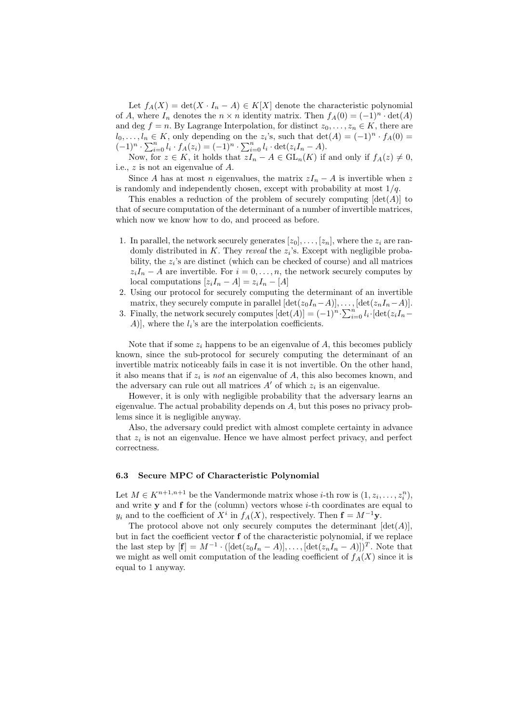Let  $f_A(X) = \det(X \cdot I_n - A) \in K[X]$  denote the characteristic polynomial of A, where  $I_n$  denotes the  $n \times n$  identity matrix. Then  $f_A(0) = (-1)^n \cdot \det(A)$ and deg  $f = n$ . By Lagrange Interpolation, for distinct  $z_0, \ldots, z_n \in K$ , there are  $l_0, \ldots, l_n \in K$ , only depending on the  $z_i$ 's, such that  $\det(A) = (-1)^n \cdot f_A(0) =$  $(-1)^n \cdot \sum_{i=0}^n l_i \cdot f_A(z_i) = (-1)^n \cdot \sum_{i=0}^n l_i \cdot \det(z_i I_n - A).$ 

Now, for  $z \in K$ , it holds that  $zI_n - A \in GL_n(K)$  if and only if  $f_A(z) \neq 0$ , i.e., z is not an eigenvalue of A.

Since A has at most n eigenvalues, the matrix  $zI_n - A$  is invertible when z is randomly and independently chosen, except with probability at most  $1/q$ .

This enables a reduction of the problem of securely computing  $[\det(A)]$  to that of secure computation of the determinant of a number of invertible matrices, which now we know how to do, and proceed as before.

- 1. In parallel, the network securely generates  $[z_0], \ldots, [z_n]$ , where the  $z_i$  are randomly distributed in  $K$ . They reveal the  $z_i$ 's. Except with negligible probability, the  $z_i$ 's are distinct (which can be checked of course) and all matrices  $z_iI_n - A$  are invertible. For  $i = 0, \ldots, n$ , the network securely computes by local computations  $[z_iI_n - A] = z_iI_n - [A]$
- 2. Using our protocol for securely computing the determinant of an invertible matrix, they securely compute in parallel  $[\det(z_0I_n-A)], \ldots, [\det(z_nI_n-A)].$
- 3. Finally, the network securely computes  $[\det(A)] = (-1)^n \sum_{i=0}^n l_i \cdot [\det(z_i I_n (A)$ , where the  $l_i$ 's are the interpolation coefficients.

Note that if some  $z_i$  happens to be an eigenvalue of A, this becomes publicly known, since the sub-protocol for securely computing the determinant of an invertible matrix noticeably fails in case it is not invertible. On the other hand, it also means that if  $z_i$  is *not* an eigenvalue of  $A$ , this also becomes known, and the adversary can rule out all matrices  $A'$  of which  $z_i$  is an eigenvalue.

However, it is only with negligible probability that the adversary learns an eigenvalue. The actual probability depends on A, but this poses no privacy problems since it is negligible anyway.

Also, the adversary could predict with almost complete certainty in advance that  $z_i$  is not an eigenvalue. Hence we have almost perfect privacy, and perfect correctness.

### 6.3 Secure MPC of Characteristic Polynomial

Let  $M \in K^{n+1,n+1}$  be the Vandermonde matrix whose *i*-th row is  $(1, z_i, \ldots, z_i^n)$ , and write  $\bf{y}$  and  $\bf{f}$  for the (column) vectors whose *i*-th coordinates are equal to  $y_i$  and to the coefficient of  $X^i$  in  $f_A(X)$ , respectively. Then  $f = M^{-1}y$ .

The protocol above not only securely computes the determinant  $[\det(A)],$ but in fact the coefficient vector f of the characteristic polynomial, if we replace the last step by  $[\mathbf{f}] = M^{-1} \cdot ([\det(z_0 I_n - A)], \dots, [\det(z_n I_n - A)])^T$ . Note that we might as well omit computation of the leading coefficient of  $f_A(X)$  since it is equal to 1 anyway.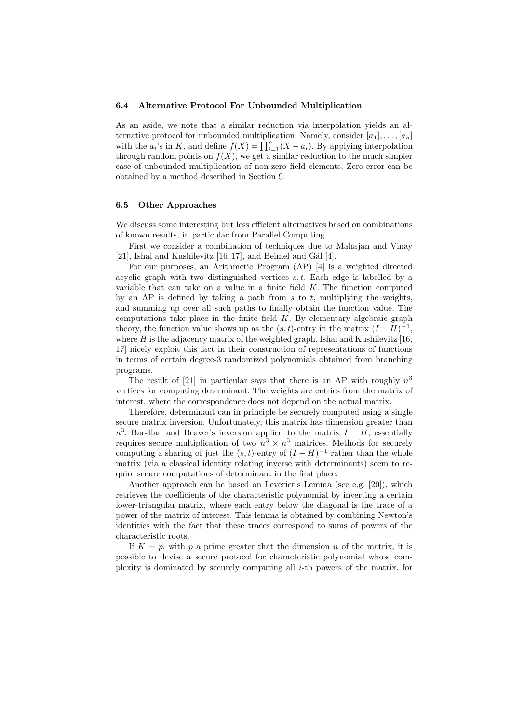#### 6.4 Alternative Protocol For Unbounded Multiplication

As an aside, we note that a similar reduction via interpolation yields an alternative protocol for unbounded multiplication. Namely, consider  $[a_1], \ldots, [a_n]$ with the  $a_i$ 's in K, and define  $f(X) = \prod_{i=1}^n (X - a_i)$ . By applying interpolation through random points on  $f(X)$ , we get a similar reduction to the much simpler case of unbounded multiplication of non-zero field elements. Zero-error can be obtained by a method described in Section 9.

#### 6.5 Other Approaches

We discuss some interesting but less efficient alternatives based on combinations of known results, in particular from Parallel Computing.

First we consider a combination of techniques due to Mahajan and Vinay [21], Ishai and Kushilevitz  $[16, 17]$ , and Beimel and Gál  $[4]$ .

For our purposes, an Arithmetic Program (AP) [4] is a weighted directed acyclic graph with two distinguished vertices  $s, t$ . Each edge is labelled by a variable that can take on a value in a finite field  $K$ . The function computed by an AP is defined by taking a path from  $s$  to  $t$ , multiplying the weights, and summing up over all such paths to finally obtain the function value. The computations take place in the finite field  $K$ . By elementary algebraic graph theory, the function value shows up as the  $(s, t)$ -entry in the matrix  $(I - H)^{-1}$ , where  $H$  is the adjacency matrix of the weighted graph. Ishai and Kushilevitz [16, 17] nicely exploit this fact in their construction of representations of functions in terms of certain degree-3 randomized polynomials obtained from branching programs.

The result of [21] in particular says that there is an AP with roughly  $n^3$ vertices for computing determinant. The weights are entries from the matrix of interest, where the correspondence does not depend on the actual matrix.

Therefore, determinant can in principle be securely computed using a single secure matrix inversion. Unfortunately, this matrix has dimension greater than  $n<sup>3</sup>$ . Bar-Ilan and Beaver's inversion applied to the matrix  $I - H$ , essentially requires secure multiplication of two  $n^3 \times n^3$  matrices. Methods for securely computing a sharing of just the  $(s, t)$ -entry of  $(I - H)^{-1}$  rather than the whole matrix (via a classical identity relating inverse with determinants) seem to require secure computations of determinant in the first place.

Another approach can be based on Leverier's Lemma (see e.g. [20]), which retrieves the coefficients of the characteristic polynomial by inverting a certain lower-triangular matrix, where each entry below the diagonal is the trace of a power of the matrix of interest. This lemma is obtained by combining Newton's identities with the fact that these traces correspond to sums of powers of the characteristic roots.

If  $K = p$ , with p a prime greater that the dimension n of the matrix, it is possible to devise a secure protocol for characteristic polynomial whose complexity is dominated by securely computing all  $i$ -th powers of the matrix, for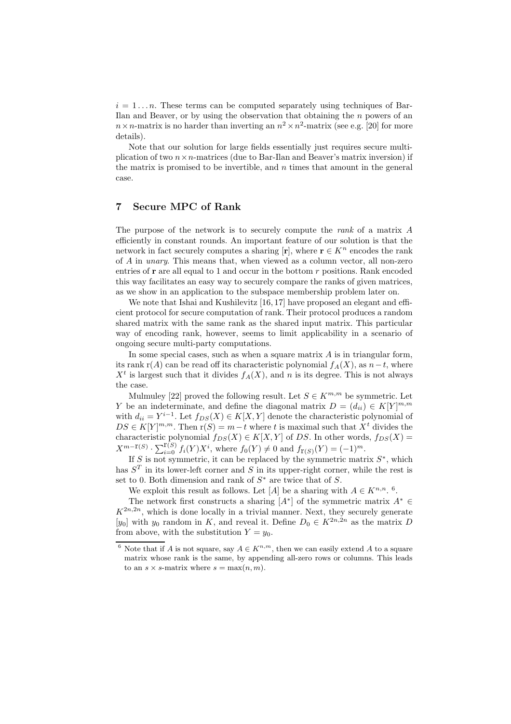$i = 1...n$ . These terms can be computed separately using techniques of Bar-Ilan and Beaver, or by using the observation that obtaining the  $n$  powers of an  $n \times n$ -matrix is no harder than inverting an  $n^2 \times n^2$ -matrix (see e.g. [20] for more details).

Note that our solution for large fields essentially just requires secure multiplication of two  $n \times n$ -matrices (due to Bar-Ilan and Beaver's matrix inversion) if the matrix is promised to be invertible, and  $n$  times that amount in the general case.

# 7 Secure MPC of Rank

The purpose of the network is to securely compute the rank of a matrix A efficiently in constant rounds. An important feature of our solution is that the network in fact securely computes a sharing  $[\mathbf{r}]$ , where  $\mathbf{r} \in K^n$  encodes the rank of A in unary. This means that, when viewed as a column vector, all non-zero entries of  $r$  are all equal to 1 and occur in the bottom  $r$  positions. Rank encoded this way facilitates an easy way to securely compare the ranks of given matrices, as we show in an application to the subspace membership problem later on.

We note that Ishai and Kushilevitz [16, 17] have proposed an elegant and efficient protocol for secure computation of rank. Their protocol produces a random shared matrix with the same rank as the shared input matrix. This particular way of encoding rank, however, seems to limit applicability in a scenario of ongoing secure multi-party computations.

In some special cases, such as when a square matrix  $A$  is in triangular form, its rank r(A) can be read off its characteristic polynomial  $f_A(X)$ , as  $n-t$ , where  $X<sup>t</sup>$  is largest such that it divides  $f_A(X)$ , and n is its degree. This is not always the case.

Mulmuley [22] proved the following result. Let  $S \in K^{m,m}$  be symmetric. Let Y be an indeterminate, and define the diagonal matrix  $D = (d_{ii}) \in K[Y]^{m,m}$ with  $d_{ii} = Y^{i-1}$ . Let  $f_{DS}(X) \in K[X, Y]$  denote the characteristic polynomial of  $DS \in K[Y]^{m,m}$ . Then  $r(S) = m-t$  where t is maximal such that  $X<sup>t</sup>$  divides the characteristic polynomial  $f_{DS}(X) \in K[X, Y]$  of DS. In other words,  $f_{DS}(X) =$  $X^{m-\Gamma(S)}$  ·  $\sum_{i=0}^{\Gamma(S)} f_i(Y)X^i$ , where  $f_0(Y) \neq 0$  and  $f_{\Gamma(S)}(Y) = (-1)^m$ .

If S is not symmetric, it can be replaced by the symmetric matrix  $S^*$ , which has  $S<sup>T</sup>$  in its lower-left corner and S in its upper-right corner, while the rest is set to 0. Both dimension and rank of  $S^*$  are twice that of  $S$ .

We exploit this result as follows. Let [A] be a sharing with  $A \in K^{n,n}$ . <sup>6</sup>.

The network first constructs a sharing  $[A^*]$  of the symmetric matrix  $A^* \in$  $K^{2n,2n}$ , which is done locally in a trivial manner. Next, they securely generate [y<sub>0</sub>] with y<sub>0</sub> random in K, and reveal it. Define  $D_0 \in K^{2n,2n}$  as the matrix D from above, with the substitution  $Y = y_0$ .

<sup>&</sup>lt;sup>6</sup> Note that if A is not square, say  $A \in K^{n,m}$ , then we can easily extend A to a square matrix whose rank is the same, by appending all-zero rows or columns. This leads to an  $s \times s$ -matrix where  $s = \max(n, m)$ .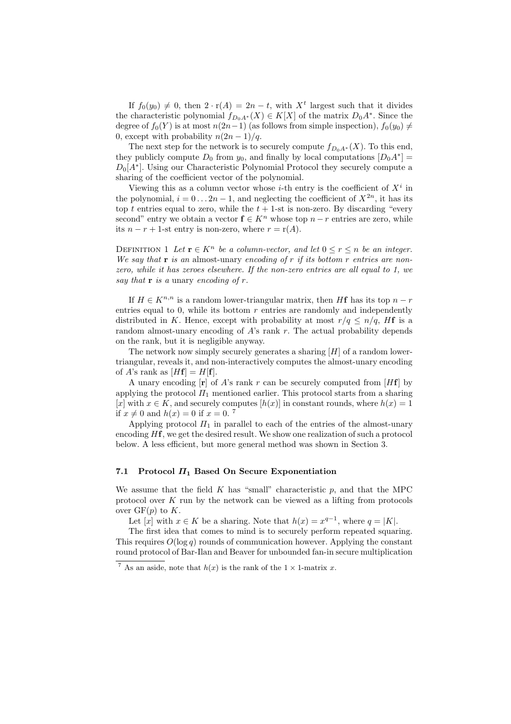If  $f_0(y_0) \neq 0$ , then  $2 \cdot r(A) = 2n - t$ , with  $X<sup>t</sup>$  largest such that it divides the characteristic polynomial  $f_{D_0A^*}(X) \in K[X]$  of the matrix  $D_0A^*$ . Since the degree of  $f_0(Y)$  is at most  $n(2n-1)$  (as follows from simple inspection),  $f_0(y_0) \neq$ 0, except with probability  $n(2n-1)/q$ .

The next step for the network is to securely compute  $f_{D_0A^*}(X)$ . To this end, they publicly compute  $D_0$  from  $y_0$ , and finally by local computations  $[D_0 A^*] =$  $D_0[A^*]$ . Using our Characteristic Polynomial Protocol they securely compute a sharing of the coefficient vector of the polynomial.

Viewing this as a column vector whose *i*-th entry is the coefficient of  $X^i$  in the polynomial,  $i = 0...2n - 1$ , and neglecting the coefficient of  $X^{2n}$ , it has its top t entries equal to zero, while the  $t + 1$ -st is non-zero. By discarding "every second" entry we obtain a vector  $f \in K<sup>n</sup>$  whose top  $n-r$  entries are zero, while its  $n - r + 1$ -st entry is non-zero, where  $r = r(A)$ .

DEFINITION 1 Let  $\mathbf{r} \in K^n$  be a column-vector, and let  $0 \le r \le n$  be an integer. We say that  $\bf{r}$  is an almost-unary encoding of  $\bf{r}$  if its bottom  $\bf{r}$  entries are nonzero, while it has zeroes elsewhere. If the non-zero entries are all equal to 1, we say that  $\mathbf r$  is a unary encoding of  $r$ .

If  $H \in K^{n,n}$  is a random lower-triangular matrix, then H**f** has its top  $n - r$ entries equal to 0, while its bottom  $r$  entries are randomly and independently distributed in K. Hence, except with probability at most  $r/q \leq n/q$ , Hf is a random almost-unary encoding of  $A$ 's rank  $r$ . The actual probability depends on the rank, but it is negligible anyway.

The network now simply securely generates a sharing  $[H]$  of a random lowertriangular, reveals it, and non-interactively computes the almost-unary encoding of A's rank as  $[HF] = H[f]$ .

A unary encoding  $[r]$  of A's rank r can be securely computed from [Hf] by applying the protocol  $\Pi_1$  mentioned earlier. This protocol starts from a sharing [x] with  $x \in K$ , and securely computes  $[h(x)]$  in constant rounds, where  $h(x) = 1$ if  $x \neq 0$  and  $h(x) = 0$  if  $x = 0$ . <sup>7</sup>

Applying protocol  $\Pi_1$  in parallel to each of the entries of the almost-unary encoding Hf, we get the desired result. We show one realization of such a protocol below. A less efficient, but more general method was shown in Section 3.

#### 7.1 Protocol  $\Pi_1$  Based On Secure Exponentiation

We assume that the field K has "small" characteristic  $p$ , and that the MPC protocol over  $K$  run by the network can be viewed as a lifting from protocols over  $GF(p)$  to K.

Let [x] with  $x \in K$  be a sharing. Note that  $h(x) = x^{q-1}$ , where  $q = |K|$ .

The first idea that comes to mind is to securely perform repeated squaring. This requires  $O(\log q)$  rounds of communication however. Applying the constant round protocol of Bar-Ilan and Beaver for unbounded fan-in secure multiplication

<sup>&</sup>lt;sup>7</sup> As an aside, note that  $h(x)$  is the rank of the  $1 \times 1$ -matrix x.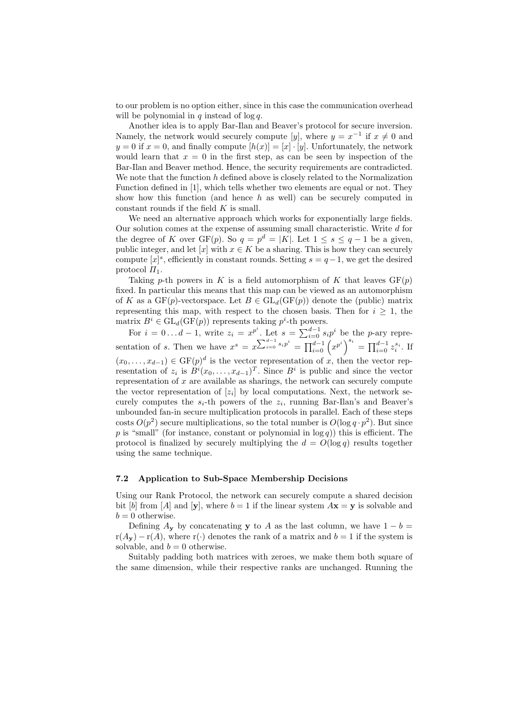to our problem is no option either, since in this case the communication overhead will be polynomial in q instead of  $log q$ .

Another idea is to apply Bar-Ilan and Beaver's protocol for secure inversion. Namely, the network would securely compute [y], where  $y = x^{-1}$  if  $x \neq 0$  and  $y = 0$  if  $x = 0$ , and finally compute  $[h(x)] = [x] \cdot [y]$ . Unfortunately, the network would learn that  $x = 0$  in the first step, as can be seen by inspection of the Bar-Ilan and Beaver method. Hence, the security requirements are contradicted. We note that the function  $h$  defined above is closely related to the Normalization Function defined in [1], which tells whether two elements are equal or not. They show how this function (and hence  $h$  as well) can be securely computed in constant rounds if the field K is small.

We need an alternative approach which works for exponentially large fields. Our solution comes at the expense of assuming small characteristic. Write d for the degree of K over GF(p). So  $q = p^d = |K|$ . Let  $1 \leq s \leq q-1$  be a given, public integer, and let [x] with  $x \in K$  be a sharing. This is how they can securely compute  $[x]^s$ , efficiently in constant rounds. Setting  $s = q - 1$ , we get the desired protocol  $\Pi_1$ .

Taking p-th powers in K is a field automorphism of K that leaves  $GF(p)$ fixed. In particular this means that this map can be viewed as an automorphism of K as a  $GF(p)$ -vectorspace. Let  $B \in GL_d(GF(p))$  denote the (public) matrix representing this map, with respect to the chosen basis. Then for  $i \geq 1$ , the matrix  $B^i \in GL_d(\mathbb{GF}(p))$  represents taking  $p^i$ -th powers.

For  $i = 0...d - 1$ , write  $z_i = x^{p^i}$ . Let  $s = \sum_{i=0}^{d-1} s_i p^i$  be the *p*-ary representation of s. Then we have  $x^s = x^{\sum_{i=0}^{d-1} s_i p^i} = \prod_{i=0}^{d-1} (x^{p^i})^{s_i} = \prod_{i=0}^{d-1} z_i^{s_i}$ . If  $(x_0, \ldots, x_{d-1}) \in \mathrm{GF}(p)^d$  is the vector representation of x, then the vector representation of  $z_i$  is  $B^i(x_0,\ldots,x_{d-1})^T$ . Since  $B^i$  is public and since the vector representation of  $x$  are available as sharings, the network can securely compute the vector representation of  $[z_i]$  by local computations. Next, the network securely computes the  $s_i$ -th powers of the  $z_i$ , running Bar-Ilan's and Beaver's unbounded fan-in secure multiplication protocols in parallel. Each of these steps costs  $O(p^2)$  secure multiplications, so the total number is  $O(\log q \cdot p^2)$ . But since p is "small" (for instance, constant or polynomial in  $log q$ )) this is efficient. The protocol is finalized by securely multiplying the  $d = O(\log q)$  results together using the same technique.

#### 7.2 Application to Sub-Space Membership Decisions

Using our Rank Protocol, the network can securely compute a shared decision bit [b] from [A] and [y], where  $b = 1$  if the linear system  $A\mathbf{x} = \mathbf{y}$  is solvable and  $b = 0$  otherwise.

Defining  $A_{\mathbf{v}}$  by concatenating y to A as the last column, we have  $1 - b =$  $r(A_v) - r(A)$ , where  $r(\cdot)$  denotes the rank of a matrix and  $b = 1$  if the system is solvable, and  $b = 0$  otherwise.

Suitably padding both matrices with zeroes, we make them both square of the same dimension, while their respective ranks are unchanged. Running the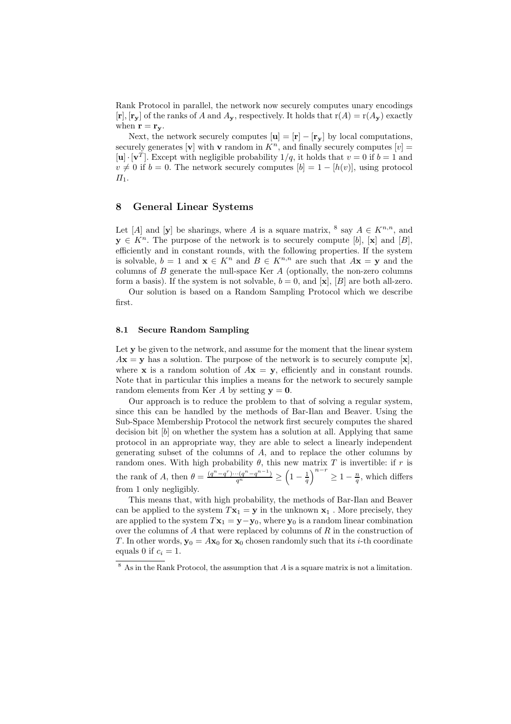Rank Protocol in parallel, the network now securely computes unary encodings  $[\mathbf{r}], [\mathbf{r}_v]$  of the ranks of A and  $A_v$ , respectively. It holds that  $r(A) = r(A_v)$  exactly when  $\mathbf{r} = \mathbf{r}_{\mathbf{y}}$ .

Next, the network securely computes  $[\mathbf{u}] = [\mathbf{r}] - [\mathbf{r}_{\mathbf{v}}]$  by local computations, securely generates  $[\mathbf{v}]$  with v random in  $K^n$ , and finally securely computes  $[v]$  = [**u**]  $\cdot$  [**v**<sup>T</sup>]. Except with negligible probability 1/q, it holds that  $v = 0$  if  $b = 1$  and  $v \neq 0$  if  $b = 0$ . The network securely computes  $[b] = 1 - [h(v)]$ , using protocol  $\Pi_1$ .

### 8 General Linear Systems

Let [A] and [y] be sharings, where A is a square matrix, <sup>8</sup> say  $A \in K^{n,n}$ , and  $y \in K<sup>n</sup>$ . The purpose of the network is to securely compute [b], [x] and [B], efficiently and in constant rounds, with the following properties. If the system is solvable,  $b = 1$  and  $\mathbf{x} \in K^n$  and  $B \in K^{n,n}$  are such that  $A\mathbf{x} = \mathbf{y}$  and the columns of  $B$  generate the null-space Ker  $A$  (optionally, the non-zero columns form a basis). If the system is not solvable,  $b = 0$ , and  $[\mathbf{x}]$ ,  $[B]$  are both all-zero.

Our solution is based on a Random Sampling Protocol which we describe first.

#### 8.1 Secure Random Sampling

Let y be given to the network, and assume for the moment that the linear system  $A\mathbf{x} = \mathbf{y}$  has a solution. The purpose of the network is to securely compute  $[\mathbf{x}]$ , where x is a random solution of  $A\mathbf{x} = \mathbf{y}$ , efficiently and in constant rounds. Note that in particular this implies a means for the network to securely sample random elements from Ker A by setting  $y = 0$ .

Our approach is to reduce the problem to that of solving a regular system, since this can be handled by the methods of Bar-Ilan and Beaver. Using the Sub-Space Membership Protocol the network first securely computes the shared decision bit [b] on whether the system has a solution at all. Applying that same protocol in an appropriate way, they are able to select a linearly independent generating subset of the columns of A, and to replace the other columns by random ones. With high probability  $\theta$ , this new matrix T is invertible: if r is the rank of A, then  $\theta = \frac{(q^n - q^r) \cdots (q^n - q^{n-1})}{q^n} \ge \left(1 - \frac{1}{q}\right)^{n-r} \ge 1 - \frac{n}{q}$ , which differs from 1 only negligibly.

This means that, with high probability, the methods of Bar-Ilan and Beaver can be applied to the system  $T\mathbf{x}_1 = \mathbf{y}$  in the unknown  $\mathbf{x}_1$ . More precisely, they are applied to the system  $T\mathbf{x}_1 = \mathbf{y}-\mathbf{y}_0$ , where  $\mathbf{y}_0$  is a random linear combination over the columns of  $A$  that were replaced by columns of  $R$  in the construction of T. In other words,  $y_0 = Ax_0$  for  $x_0$  chosen randomly such that its *i*-th coordinate equals 0 if  $c_i = 1$ .

 $8$  As in the Rank Protocol, the assumption that A is a square matrix is not a limitation.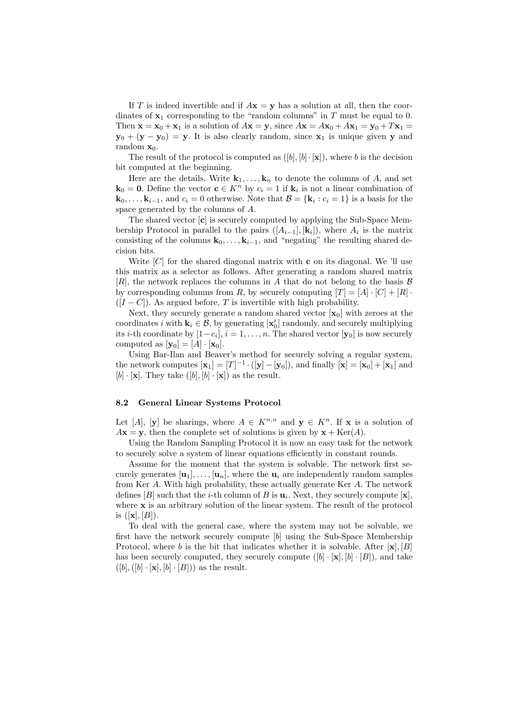If T is indeed invertible and if  $A\mathbf{x} = \mathbf{y}$  has a solution at all, then the coordinates of  $x_1$  corresponding to the "random columns" in  $T$  must be equal to 0. Then  $\mathbf{x} = \mathbf{x}_0 + \mathbf{x}_1$  is a solution of  $A\mathbf{x} = \mathbf{y}$ , since  $A\mathbf{x} = A\mathbf{x}_0 + A\mathbf{x}_1 = \mathbf{y}_0 + T\mathbf{x}_1 =$  $y_0 + (y - y_0) = y$ . It is also clearly random, since  $x_1$  is unique given y and random  $\mathbf{x}_0$ .

The result of the protocol is computed as  $([b], [b] \cdot [x])$ , where b is the decision bit computed at the beginning.

Here are the details. Write  $k_1, \ldots, k_n$  to denote the columns of A, and set  $\mathbf{k}_0 = \mathbf{0}$ . Define the vector  $\mathbf{c} \in K^n$  by  $c_i = 1$  if  $\mathbf{k}_i$  is not a linear combination of  $\mathbf{k}_0, \ldots, \mathbf{k}_{i-1}$ , and  $c_i = 0$  otherwise. Note that  $\mathcal{B} = {\mathbf{k}_i : c_i = 1}$  is a basis for the space generated by the columns of A.

The shared vector [c] is securely computed by applying the Sub-Space Membership Protocol in parallel to the pairs  $([A_{i-1}], [\mathbf{k}_i])$ , where  $A_i$  is the matrix consisting of the columns  $k_0, \ldots, k_{i-1}$ , and "negating" the resulting shared decision bits.

Write  $[C]$  for the shared diagonal matrix with c on its diagonal. We 'll use this matrix as a selector as follows. After generating a random shared matrix  $[R]$ , the network replaces the columns in A that do not belong to the basis B by corresponding columns from R, by securely computing  $[T] = [A] \cdot [C] + [R] \cdot$  $([I - C])$ . As argued before, T is invertible with high probability.

Next, they securely generate a random shared vector  $\mathbf{x}_0$  with zeroes at the coordinates i with  $\mathbf{k}_i \in \mathcal{B}$ , by generating  $[\mathbf{x}'_0]$  randomly, and securely multiplying its *i*-th coordinate by  $[1-c_i]$ ,  $i = 1, ..., n$ . The shared vector  $[\mathbf{y}_0]$  is now securely computed as  $[\mathbf{y}_0] = [A] \cdot [\mathbf{x}_0]$ .

Using Bar-Ilan and Beaver's method for securely solving a regular system, the network computes  $[\mathbf{x}_1] = [T]^{-1} \cdot ([\mathbf{y}] - [\mathbf{y}_0])$ , and finally  $[\mathbf{x}] = [\mathbf{x}_0] + [\mathbf{x}_1]$  and  $[b] \cdot [\mathbf{x}]$ . They take  $([b], [b] \cdot [\mathbf{x}])$  as the result.

#### 8.2 General Linear Systems Protocol

Let [A], [y] be sharings, where  $A \in K^{n,n}$  and  $y \in K^n$ . If x is a solution of  $A$ **x** = **y**, then the complete set of solutions is given by **x** + Ker(A).

Using the Random Sampling Protocol it is now an easy task for the network to securely solve a system of linear equations efficiently in constant rounds.

Assume for the moment that the system is solvable. The network first securely generates  $[\mathbf{u}_1], \ldots, [\mathbf{u}_n]$ , where the  $\mathbf{u}_i$  are independently random samples from Ker A. With high probability, these actually generate Ker A. The network defines  $[B]$  such that the *i*-th column of B is  $\mathbf{u}_i$ . Next, they securely compute  $[\mathbf{x}]$ , where **x** is an arbitrary solution of the linear system. The result of the protocol is  $([\mathbf{x}], [B]).$ 

To deal with the general case, where the system may not be solvable, we first have the network securely compute [b] using the Sub-Space Membership Protocol, where b is the bit that indicates whether it is solvable. After  $[\mathbf{x}], [B]$ has been securely computed, they securely compute  $([b] \cdot [x], [b] \cdot [B])$ , and take  $([b],([b]\cdot [\mathbf{x}], [b]\cdot [B]))$  as the result.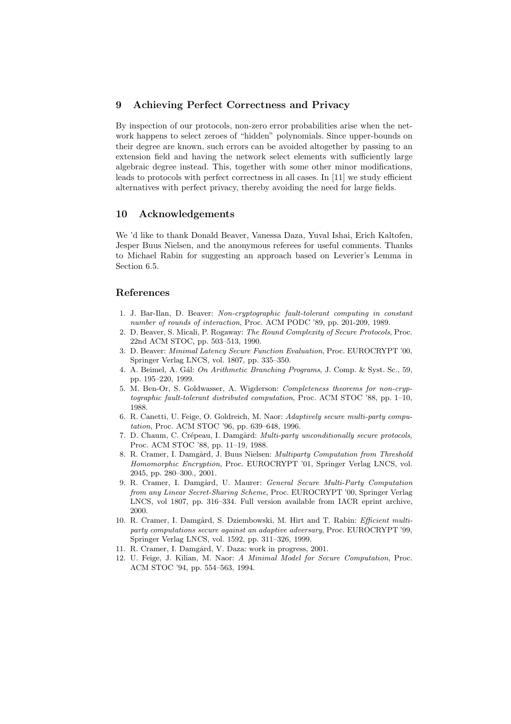### 9 Achieving Perfect Correctness and Privacy

By inspection of our protocols, non-zero error probabilities arise when the network happens to select zeroes of "hidden" polynomials. Since upper-bounds on their degree are known, such errors can be avoided altogether by passing to an extension field and having the network select elements with sufficiently large algebraic degree instead. This, together with some other minor modifications, leads to protocols with perfect correctness in all cases. In [11] we study efficient alternatives with perfect privacy, thereby avoiding the need for large fields.

## 10 Acknowledgements

We 'd like to thank Donald Beaver, Vanessa Daza, Yuval Ishai, Erich Kaltofen, Jesper Buus Nielsen, and the anonymous referees for useful comments. Thanks to Michael Rabin for suggesting an approach based on Leverier's Lemma in Section 6.5.

# References

- 1. J. Bar-Ilan, D. Beaver: Non-cryptographic fault-tolerant computing in constant number of rounds of interaction, Proc. ACM PODC '89, pp. 201-209, 1989.
- 2. D. Beaver, S. Micali, P. Rogaway: The Round Complexity of Secure Protocols, Proc. 22nd ACM STOC, pp. 503–513, 1990.
- 3. D. Beaver: Minimal Latency Secure Function Evaluation, Proc. EUROCRYPT '00, Springer Verlag LNCS, vol. 1807, pp. 335–350.
- 4. A. Beimel, A. Gál: On Arithmetic Branching Programs, J. Comp. & Syst. Sc., 59, pp. 195–220, 1999.
- 5. M. Ben-Or, S. Goldwasser, A. Wigderson: Completeness theorems for non-cryptographic fault-tolerant distributed computation, Proc. ACM STOC '88, pp. 1–10, 1988.
- 6. R. Canetti, U. Feige, O. Goldreich, M. Naor: Adaptively secure multi-party computation, Proc. ACM STOC '96, pp. 639–648, 1996.
- 7. D. Chaum, C. Crépeau, I. Damgård: Multi-party unconditionally secure protocols, Proc. ACM STOC '88, pp. 11–19, 1988.
- 8. R. Cramer, I. Damgård, J. Buus Nielsen: *Multiparty Computation from Threshold* Homomorphic Encryption, Proc. EUROCRYPT '01, Springer Verlag LNCS, vol. 2045, pp. 280–300., 2001.
- 9. R. Cramer, I. Damgård, U. Maurer: General Secure Multi-Party Computation from any Linear Secret-Sharing Scheme, Proc. EUROCRYPT '00, Springer Verlag LNCS, vol 1807, pp. 316–334. Full version available from IACR eprint archive, 2000.
- 10. R. Cramer, I. Damgård, S. Dziembowski, M. Hirt and T. Rabin: Efficient multiparty computations secure against an adaptive adversary, Proc. EUROCRYPT '99, Springer Verlag LNCS, vol. 1592, pp. 311–326, 1999.
- 11. R. Cramer, I. Damgård, V. Daza: work in progress, 2001.
- 12. U. Feige, J. Kilian, M. Naor: A Minimal Model for Secure Computation, Proc. ACM STOC '94, pp. 554–563, 1994.